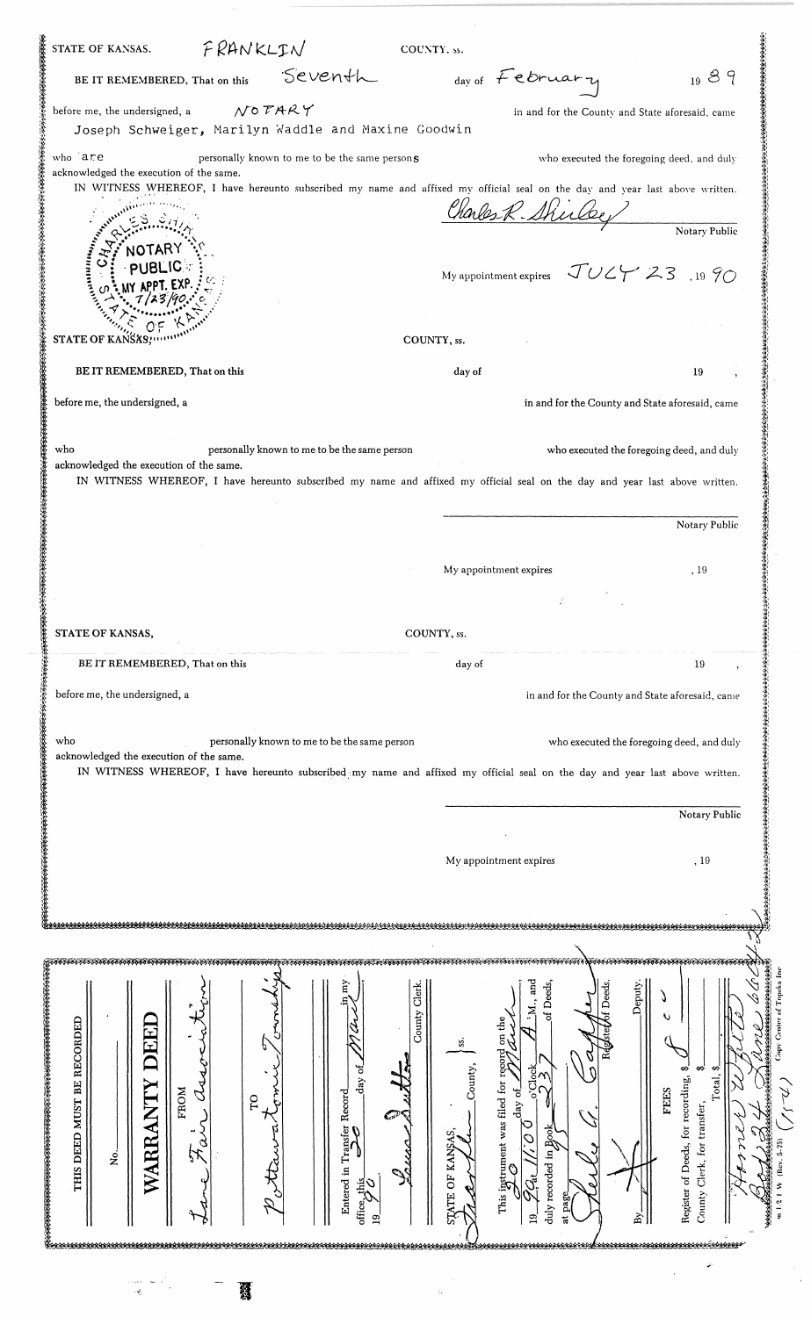| STATE OF KANSAS.                        | FRANKLIN |                                                     | COUNTY, ss.           |                                                                                                                             |                                                                                                                                |
|-----------------------------------------|----------|-----------------------------------------------------|-----------------------|-----------------------------------------------------------------------------------------------------------------------------|--------------------------------------------------------------------------------------------------------------------------------|
| BE IT REMEMBERED, That on this          |          | Seventh                                             |                       | day of February                                                                                                             | $_{19}$ 39                                                                                                                     |
| before me, the undersigned, a           | NOTARY   | Joseph Schweiger, Marilyn Waddle and Maxine Goodwin |                       | in and for the County and State aforesaid, came                                                                             |                                                                                                                                |
|                                         |          | personally known to me to be the same persons       |                       |                                                                                                                             | who executed the foregoing deed, and duly                                                                                      |
| acknowledged the execution of the same. |          |                                                     |                       | IN WITNESS WHEREOF, I have hereunto subscribed my name and affixed my official seal on the day and year last above written. |                                                                                                                                |
| NOTAK                                   |          |                                                     |                       | Charles R. Shirley                                                                                                          | Notary Public                                                                                                                  |
| <b>PUBLIC</b>                           |          |                                                     |                       | My appointment expires                                                                                                      | $JUCY$ 23, 1990                                                                                                                |
| STATE OF KANSAS,                        |          |                                                     | COUNTY, ss.           |                                                                                                                             |                                                                                                                                |
| BE IT REMEMBERED, That on this          |          |                                                     | day of                |                                                                                                                             | 19                                                                                                                             |
| before me, the undersigned, a           |          |                                                     |                       |                                                                                                                             | Harden Transisch Schrift der Recht der Freinstein des Schriftstehtschriften<br>in and for the County and State aforesaid, came |
|                                         |          | personally known to me to be the same person        |                       |                                                                                                                             | who executed the foregoing deed, and duly                                                                                      |
| acknowledged the execution of the same. |          |                                                     |                       |                                                                                                                             |                                                                                                                                |
|                                         |          |                                                     |                       | IN WITNESS WHEREOF, I have hereunto subscribed my name and affixed my official seal on the day and year last above written. |                                                                                                                                |
|                                         |          |                                                     |                       |                                                                                                                             | Notary Public                                                                                                                  |
|                                         |          |                                                     |                       | My appointment expires                                                                                                      | , 19                                                                                                                           |
|                                         |          |                                                     |                       |                                                                                                                             |                                                                                                                                |
| STATE OF KANSAS,                        |          |                                                     | COUNTY, ss.           |                                                                                                                             |                                                                                                                                |
| BE IT REMEMBERED, That on this          |          |                                                     | day of                |                                                                                                                             | 19                                                                                                                             |
| before me, the undersigned, a           |          |                                                     |                       |                                                                                                                             | in and for the County and State aforesaid, came                                                                                |
|                                         |          |                                                     |                       |                                                                                                                             |                                                                                                                                |
| acknowledged the execution of the same. |          | personally known to me to be the same person        |                       | IN WITNESS WHEREOF, I have hereunto subscribed my name and affixed my official seal on the day and year last above written. | who executed the foregoing deed, and duly                                                                                      |
|                                         |          |                                                     |                       |                                                                                                                             | Notary Public                                                                                                                  |
|                                         |          |                                                     |                       |                                                                                                                             |                                                                                                                                |
|                                         |          |                                                     |                       | My appointment expires                                                                                                      | , 19                                                                                                                           |
|                                         |          |                                                     |                       |                                                                                                                             |                                                                                                                                |
|                                         |          |                                                     |                       |                                                                                                                             |                                                                                                                                |
|                                         |          |                                                     |                       |                                                                                                                             |                                                                                                                                |
|                                         |          | έ                                                   | Clerk.                | Deeds<br>Deeds                                                                                                              | Deputy                                                                                                                         |
|                                         |          |                                                     | County                |                                                                                                                             |                                                                                                                                |
| $\overline{\mathbf{r}}$                 |          | 5                                                   |                       |                                                                                                                             | ക                                                                                                                              |
| FROM                                    | ρ        | day                                                 |                       | ㅎ                                                                                                                           | $_{\rm [total]}$                                                                                                               |
|                                         |          | Transfer Record                                     |                       | The state was filed for $\mathcal{O}$                                                                                       | Deeds, for recording,<br>transfer,                                                                                             |
| RR<br>ż                                 |          |                                                     |                       | Boo<br>$\mathbf{a}.$                                                                                                        | erk, for                                                                                                                       |
|                                         |          | $\mathbf{a}$                                        |                       | ತೆ                                                                                                                          |                                                                                                                                |
|                                         |          |                                                     |                       |                                                                                                                             |                                                                                                                                |
|                                         |          |                                                     |                       |                                                                                                                             |                                                                                                                                |
|                                         |          |                                                     |                       |                                                                                                                             |                                                                                                                                |
| ÷.                                      | 뛇        |                                                     | $\mathcal{I}_\bullet$ |                                                                                                                             |                                                                                                                                |

 $\frac{1}{2} \frac{1}{2} \frac{1}{2} \frac{1}{2} \frac{1}{2} \frac{1}{2} \frac{1}{2} \frac{1}{2} \frac{1}{2} \frac{1}{2} \frac{1}{2} \frac{1}{2} \frac{1}{2} \frac{1}{2} \frac{1}{2} \frac{1}{2} \frac{1}{2} \frac{1}{2} \frac{1}{2} \frac{1}{2} \frac{1}{2} \frac{1}{2} \frac{1}{2} \frac{1}{2} \frac{1}{2} \frac{1}{2} \frac{1}{2} \frac{1}{2} \frac{1}{2} \frac{1}{2} \frac{1}{2} \frac{$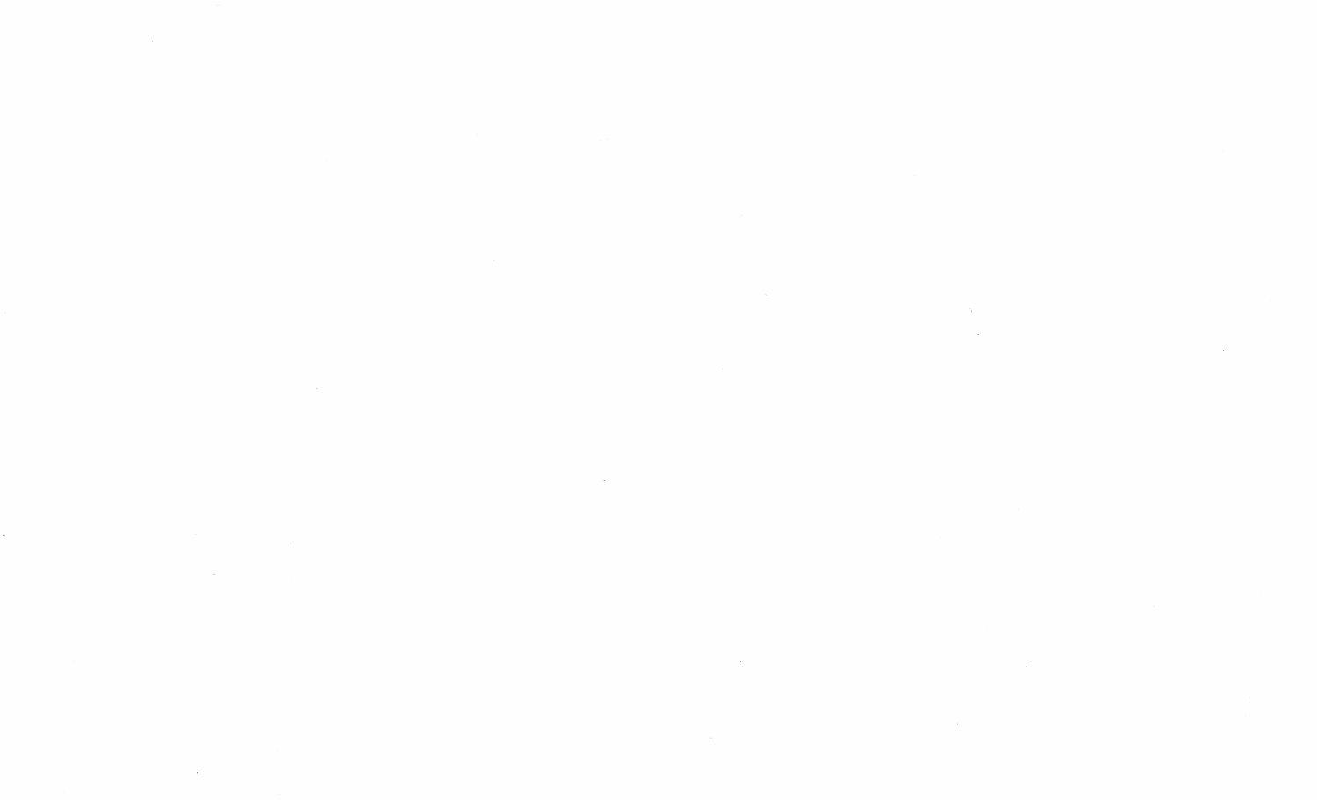$\mathcal{L}^{\text{max}}_{\text{max}}$  , where  $\mathcal{L}^{\text{max}}_{\text{max}}$  $\label{eq:2.1} \frac{1}{\sqrt{2}}\int_{\mathbb{R}^3}\frac{1}{\sqrt{2}}\left(\frac{1}{\sqrt{2}}\right)^2\left(\frac{1}{\sqrt{2}}\right)^2\left(\frac{1}{\sqrt{2}}\right)^2\left(\frac{1}{\sqrt{2}}\right)^2\left(\frac{1}{\sqrt{2}}\right)^2\left(\frac{1}{\sqrt{2}}\right)^2\left(\frac{1}{\sqrt{2}}\right)^2\left(\frac{1}{\sqrt{2}}\right)^2\left(\frac{1}{\sqrt{2}}\right)^2\left(\frac{1}{\sqrt{2}}\right)^2\left(\frac{1}{\sqrt{2}}\right)^2\left(\frac$  $\mathcal{L}(\mathcal{L}(\mathcal{L}))$  and the set of the set of the set of the set of the set of the set of the set of the set of the set of the set of the set of the set of the set of the set of the set of the set of the set of the set o

 $\mathcal{L}(\mathcal{L}^{\mathcal{L}})$  and  $\mathcal{L}(\mathcal{L}^{\mathcal{L}})$  and  $\mathcal{L}(\mathcal{L}^{\mathcal{L}})$ 

 $\omega_{\rm{eff}}$ 

 $\label{eq:2} \mathcal{L}(\mathcal{L}^{\text{max}}_{\text{max}}(\mathcal{L}^{\text{max}}_{\text{max}}(\mathcal{L}^{\text{max}}_{\text{max}}(\mathcal{L}^{\text{max}}_{\text{max}})))$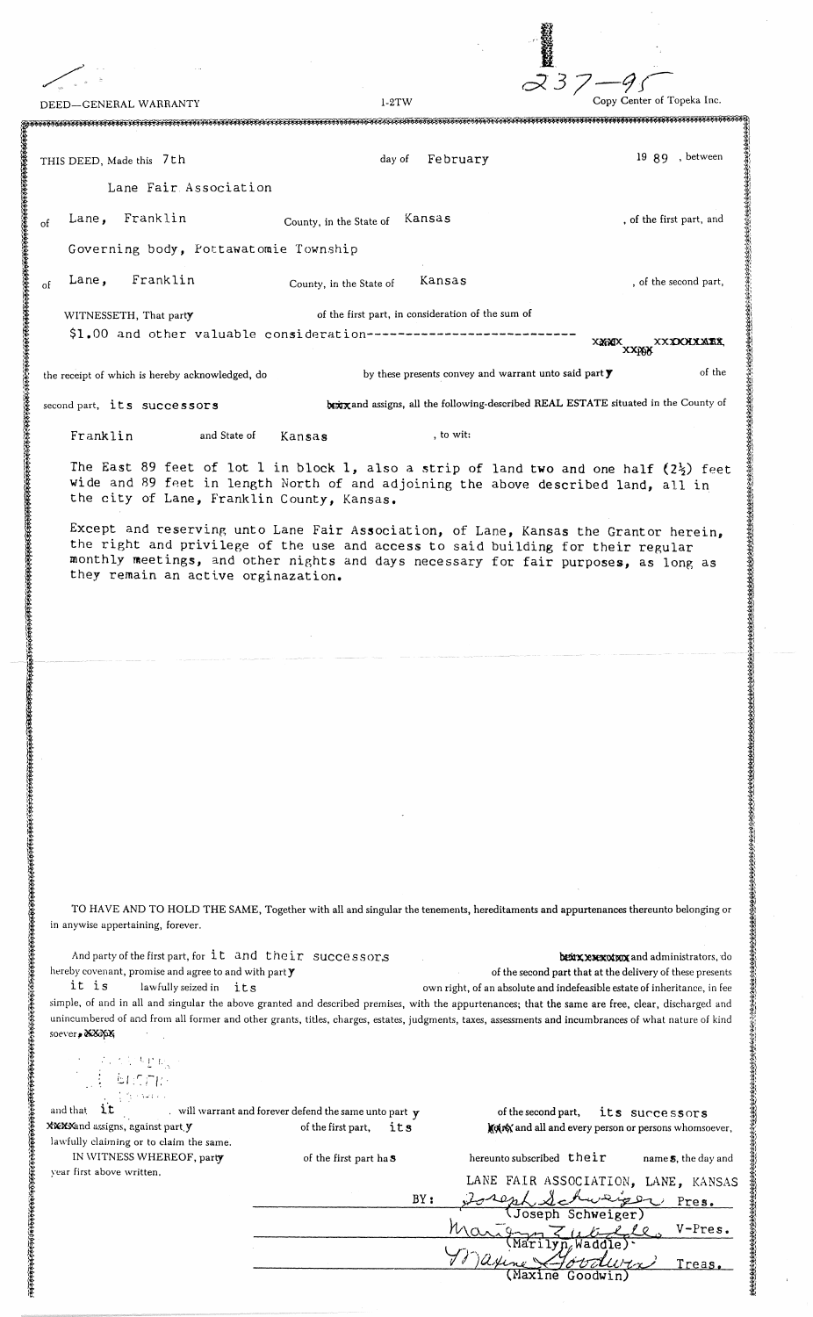|                                                                                                                   | $1-2TW$                                                                                                                                                                                                                                                                                                     | $237 - 95$<br>Copy Center of Topeka Inc.                                                                                                                                                                                               |  |  |  |
|-------------------------------------------------------------------------------------------------------------------|-------------------------------------------------------------------------------------------------------------------------------------------------------------------------------------------------------------------------------------------------------------------------------------------------------------|----------------------------------------------------------------------------------------------------------------------------------------------------------------------------------------------------------------------------------------|--|--|--|
| DEED-GENERAL WARRANTY                                                                                             |                                                                                                                                                                                                                                                                                                             |                                                                                                                                                                                                                                        |  |  |  |
|                                                                                                                   |                                                                                                                                                                                                                                                                                                             |                                                                                                                                                                                                                                        |  |  |  |
| THIS DEED, Made this 7th                                                                                          | February<br>day of                                                                                                                                                                                                                                                                                          | 19 89, between                                                                                                                                                                                                                         |  |  |  |
| Lane Fair Association                                                                                             |                                                                                                                                                                                                                                                                                                             |                                                                                                                                                                                                                                        |  |  |  |
| Franklin<br>Lane,<br>of                                                                                           | Kansas<br>County, in the State of                                                                                                                                                                                                                                                                           | , of the first part, and                                                                                                                                                                                                               |  |  |  |
| Governing body, Pottawatomie Township                                                                             |                                                                                                                                                                                                                                                                                                             |                                                                                                                                                                                                                                        |  |  |  |
| Franklin<br>Lane,<br>of                                                                                           | Kansas<br>County, in the State of                                                                                                                                                                                                                                                                           | , of the second part,                                                                                                                                                                                                                  |  |  |  |
|                                                                                                                   | of the first part, in consideration of the sum of                                                                                                                                                                                                                                                           |                                                                                                                                                                                                                                        |  |  |  |
| WITNESSETH, That party<br>\$1.00 and other valuable consideration---------                                        |                                                                                                                                                                                                                                                                                                             |                                                                                                                                                                                                                                        |  |  |  |
|                                                                                                                   |                                                                                                                                                                                                                                                                                                             | XXMX<br><b>XXIAI</b>                                                                                                                                                                                                                   |  |  |  |
| the receipt of which is hereby acknowledged, do                                                                   | by these presents convey and warrant unto said part $\ddot{y}$                                                                                                                                                                                                                                              | of the                                                                                                                                                                                                                                 |  |  |  |
| second part, its successors                                                                                       | being and assigns, all the following-described REAL ESTATE situated in the County of                                                                                                                                                                                                                        |                                                                                                                                                                                                                                        |  |  |  |
| Franklin<br>and State of                                                                                          | , to wit:<br>Kansas                                                                                                                                                                                                                                                                                         |                                                                                                                                                                                                                                        |  |  |  |
| the city of Lane, Franklin County, Kansas.                                                                        | The East 89 feet of lot 1 in block 1, also a strip of land two and one half $(2\frac{1}{2})$ feet<br>wide and 89 feet in length North of and adjoining the above described land, all in                                                                                                                     |                                                                                                                                                                                                                                        |  |  |  |
| they remain an active orginazation.                                                                               | Except and reserving unto Lane Fair Association, of Lane, Kansas the Grantor herein,<br>the right and privilege of the use and access to said building for their regular<br>monthly meetings, and other nights and days necessary for fair purposes, as long as                                             |                                                                                                                                                                                                                                        |  |  |  |
|                                                                                                                   |                                                                                                                                                                                                                                                                                                             |                                                                                                                                                                                                                                        |  |  |  |
|                                                                                                                   |                                                                                                                                                                                                                                                                                                             |                                                                                                                                                                                                                                        |  |  |  |
|                                                                                                                   |                                                                                                                                                                                                                                                                                                             |                                                                                                                                                                                                                                        |  |  |  |
|                                                                                                                   |                                                                                                                                                                                                                                                                                                             |                                                                                                                                                                                                                                        |  |  |  |
|                                                                                                                   |                                                                                                                                                                                                                                                                                                             |                                                                                                                                                                                                                                        |  |  |  |
|                                                                                                                   |                                                                                                                                                                                                                                                                                                             |                                                                                                                                                                                                                                        |  |  |  |
|                                                                                                                   |                                                                                                                                                                                                                                                                                                             |                                                                                                                                                                                                                                        |  |  |  |
|                                                                                                                   |                                                                                                                                                                                                                                                                                                             |                                                                                                                                                                                                                                        |  |  |  |
|                                                                                                                   |                                                                                                                                                                                                                                                                                                             |                                                                                                                                                                                                                                        |  |  |  |
| in anywise appertaining, forever.                                                                                 | TO HAVE AND TO HOLD THE SAME, Together with all and singular the tenements, hereditaments and appurtenances thereunto belonging or                                                                                                                                                                          |                                                                                                                                                                                                                                        |  |  |  |
|                                                                                                                   |                                                                                                                                                                                                                                                                                                             |                                                                                                                                                                                                                                        |  |  |  |
|                                                                                                                   |                                                                                                                                                                                                                                                                                                             |                                                                                                                                                                                                                                        |  |  |  |
| And party of the first part, for it and their successors<br>hereby covenant, promise and agree to and with part y |                                                                                                                                                                                                                                                                                                             |                                                                                                                                                                                                                                        |  |  |  |
| it is<br>lawfully seized in its                                                                                   |                                                                                                                                                                                                                                                                                                             |                                                                                                                                                                                                                                        |  |  |  |
| soever, XXXX                                                                                                      | simple, of and in all and singular the above granted and described premises, with the appurtenances; that the same are free, clear, discharged and<br>unincumbered of and from all former and other grants, titles, charges, estates, judgments, taxes, assessments and incumbrances of what nature of kind |                                                                                                                                                                                                                                        |  |  |  |
| $\mathbb{Z}^n \subset \mathbb{Z}^{n \times n} \to \mathbb{Z}^n$ by                                                |                                                                                                                                                                                                                                                                                                             |                                                                                                                                                                                                                                        |  |  |  |
| <b>BISCOL</b>                                                                                                     |                                                                                                                                                                                                                                                                                                             |                                                                                                                                                                                                                                        |  |  |  |
| and that it                                                                                                       | . will warrant and forever defend the same unto part $\gamma$<br>of the second part,                                                                                                                                                                                                                        | its successors                                                                                                                                                                                                                         |  |  |  |
| XXXXand assigns, against part y<br>lawfully claiming or to claim the same.                                        | of the first part,<br>its                                                                                                                                                                                                                                                                                   | beirs reserving and administrators, do<br>of the second part that at the delivery of these presents<br>own right, of an absolute and indefeasible estate of inheritance, in fee<br>Kon and all and every person or persons whomsoever, |  |  |  |
| IN WITNESS WHEREOF, party<br>year first above written.                                                            | hereunto subscribed their<br>of the first part has                                                                                                                                                                                                                                                          | name 5, the day and                                                                                                                                                                                                                    |  |  |  |
|                                                                                                                   | $2\pi$<br>BY:                                                                                                                                                                                                                                                                                               | LANE FAIR ASSOCIATION, LANE, KANSAS                                                                                                                                                                                                    |  |  |  |
|                                                                                                                   |                                                                                                                                                                                                                                                                                                             | $\sim$ Pres.<br>Schwei<br>er)                                                                                                                                                                                                          |  |  |  |
|                                                                                                                   |                                                                                                                                                                                                                                                                                                             | $V-Pres.$<br>Treas.                                                                                                                                                                                                                    |  |  |  |

 $\hat{\vec{r}}$ 

 $\frac{1}{2}$